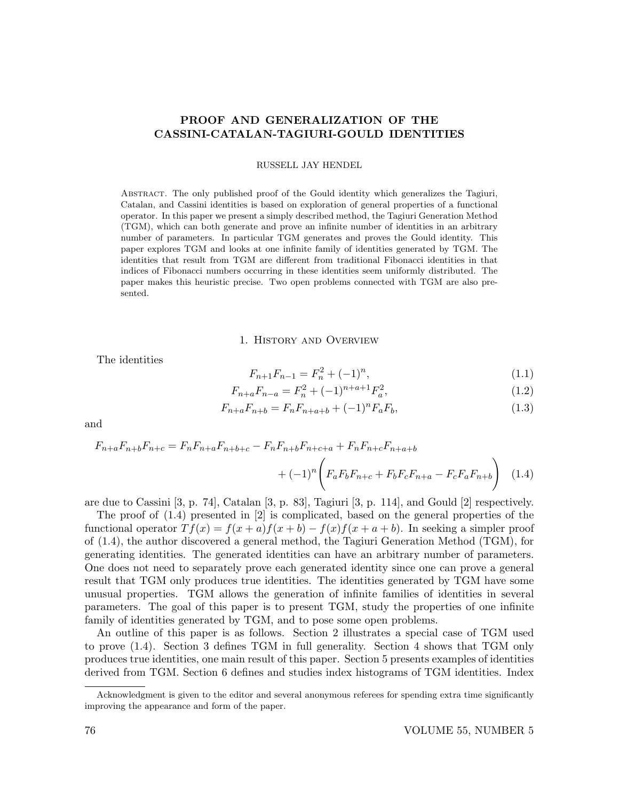# PROOF AND GENERALIZATION OF THE CASSINI-CATALAN-TAGIURI-GOULD IDENTITIES

RUSSELL JAY HENDEL

Abstract. The only published proof of the Gould identity which generalizes the Tagiuri, Catalan, and Cassini identities is based on exploration of general properties of a functional operator. In this paper we present a simply described method, the Tagiuri Generation Method (TGM), which can both generate and prove an infinite number of identities in an arbitrary number of parameters. In particular TGM generates and proves the Gould identity. This paper explores TGM and looks at one infinite family of identities generated by TGM. The identities that result from TGM are different from traditional Fibonacci identities in that indices of Fibonacci numbers occurring in these identities seem uniformly distributed. The paper makes this heuristic precise. Two open problems connected with TGM are also presented.

1. History and Overview

The identities

$$
F_{n+1}F_{n-1} = F_n^2 + (-1)^n,
$$
\n(1.1)

$$
F_{n+a}F_{n-a} = F_n^2 + (-1)^{n+a+1}F_a^2,
$$
\n(1.2)

$$
F_{n+a}F_{n+b} = F_nF_{n+a+b} + (-1)^n F_aF_b,
$$
\n(1.3)

and

$$
F_{n+a}F_{n+b}F_{n+c} = F_nF_{n+a}F_{n+b+c} - F_nF_{n+b}F_{n+c+a} + F_nF_{n+c}F_{n+a+b}
$$

$$
+ (-1)^n \left( F_aF_bF_{n+c} + F_bF_cF_{n+a} - F_cF_aF_{n+b} \right) \tag{1.4}
$$

are due to Cassini [3, p. 74], Catalan [3, p. 83], Tagiuri [3, p. 114], and Gould [2] respectively.

The proof of (1.4) presented in [2] is complicated, based on the general properties of the functional operator  $Tf(x) = f(x+a)f(x+b) - f(x)f(x+a+b)$ . In seeking a simpler proof of (1.4), the author discovered a general method, the Tagiuri Generation Method (TGM), for generating identities. The generated identities can have an arbitrary number of parameters. One does not need to separately prove each generated identity since one can prove a general result that TGM only produces true identities. The identities generated by TGM have some unusual properties. TGM allows the generation of infinite families of identities in several parameters. The goal of this paper is to present TGM, study the properties of one infinite family of identities generated by TGM, and to pose some open problems.

An outline of this paper is as follows. Section 2 illustrates a special case of TGM used to prove (1.4). Section 3 defines TGM in full generality. Section 4 shows that TGM only produces true identities, one main result of this paper. Section 5 presents examples of identities derived from TGM. Section 6 defines and studies index histograms of TGM identities. Index

Acknowledgment is given to the editor and several anonymous referees for spending extra time significantly improving the appearance and form of the paper.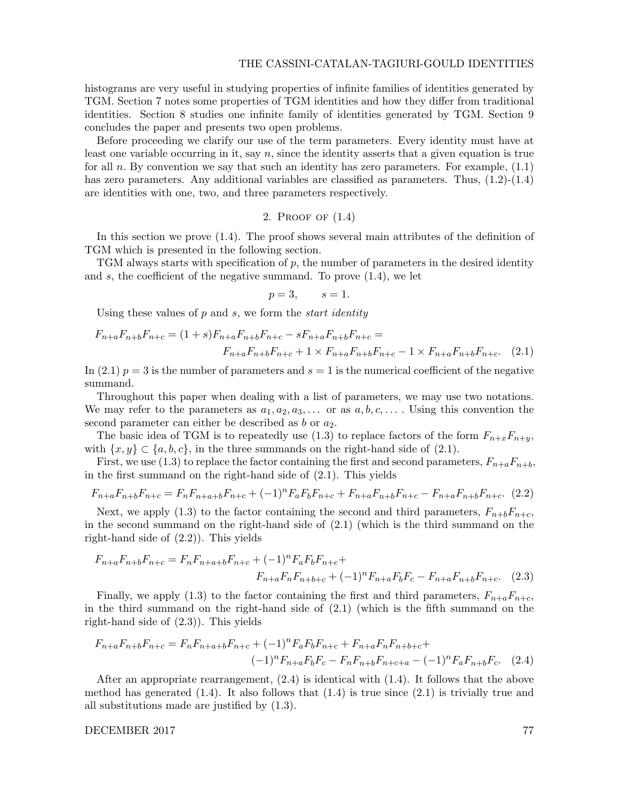histograms are very useful in studying properties of infinite families of identities generated by TGM. Section 7 notes some properties of TGM identities and how they differ from traditional identities. Section 8 studies one infinite family of identities generated by TGM. Section 9 concludes the paper and presents two open problems.

Before proceeding we clarify our use of the term parameters. Every identity must have at least one variable occurring in it, say  $n$ , since the identity asserts that a given equation is true for all n. By convention we say that such an identity has zero parameters. For example,  $(1.1)$ has zero parameters. Any additional variables are classified as parameters. Thus,  $(1.2)$ - $(1.4)$ are identities with one, two, and three parameters respectively.

## 2. Proof of (1.4)

In this section we prove (1.4). The proof shows several main attributes of the definition of TGM which is presented in the following section.

TGM always starts with specification of p, the number of parameters in the desired identity and  $s$ , the coefficient of the negative summand. To prove  $(1.4)$ , we let

$$
p=3, \qquad s=1.
$$

Using these values of  $p$  and  $s$ , we form the *start identity* 

$$
F_{n+a}F_{n+b}F_{n+c} = (1+s)F_{n+a}F_{n+b}F_{n+c} - sF_{n+a}F_{n+b}F_{n+c} =
$$
  

$$
F_{n+a}F_{n+b}F_{n+c} + 1 \times F_{n+a}F_{n+b}F_{n+c} - 1 \times F_{n+a}F_{n+b}F_{n+c}.
$$
 (2.1)

In (2.1)  $p = 3$  is the number of parameters and  $s = 1$  is the numerical coefficient of the negative summand.

Throughout this paper when dealing with a list of parameters, we may use two notations. We may refer to the parameters as  $a_1, a_2, a_3, \ldots$  or as  $a, b, c, \ldots$ . Using this convention the second parameter can either be described as  $b$  or  $a_2$ .

The basic idea of TGM is to repeatedly use (1.3) to replace factors of the form  $F_{n+x}F_{n+y}$ , with  $\{x, y\} \subset \{a, b, c\}$ , in the three summands on the right-hand side of (2.1).

First, we use (1.3) to replace the factor containing the first and second parameters,  $F_{n+a}F_{n+b}$ , in the first summand on the right-hand side of (2.1). This yields

$$
F_{n+a}F_{n+b}F_{n+c} = F_nF_{n+a+b}F_{n+c} + (-1)^nF_aF_bF_{n+c} + F_{n+a}F_{n+b}F_{n+c} - F_{n+a}F_{n+b}F_{n+c}.
$$
 (2.2)

Next, we apply (1.3) to the factor containing the second and third parameters,  $F_{n+b}F_{n+c}$ , in the second summand on the right-hand side of (2.1) (which is the third summand on the right-hand side of (2.2)). This yields

$$
F_{n+a}F_{n+b}F_{n+c} = F_nF_{n+a+b}F_{n+c} + (-1)^n F_aF_bF_{n+c} +
$$
  

$$
F_{n+a}F_nF_{n+b+c} + (-1)^n F_{n+a}F_bF_c - F_{n+a}F_{n+b}F_{n+c}.
$$
 (2.3)

Finally, we apply (1.3) to the factor containing the first and third parameters,  $F_{n+a}F_{n+c}$ , in the third summand on the right-hand side of (2.1) (which is the fifth summand on the right-hand side of (2.3)). This yields

$$
F_{n+a}F_{n+b}F_{n+c} = F_nF_{n+a+b}F_{n+c} + (-1)^n F_aF_bF_{n+c} + F_{n+a}F_nF_{n+b+c} + (-1)^n F_{n+a}F_bF_c - F_nF_{n+b}F_{n+c+a} - (-1)^n F_aF_{n+b}F_c.
$$
 (2.4)

After an appropriate rearrangement, (2.4) is identical with (1.4). It follows that the above method has generated  $(1.4)$ . It also follows that  $(1.4)$  is true since  $(2.1)$  is trivially true and all substitutions made are justified by (1.3).

DECEMBER 2017 77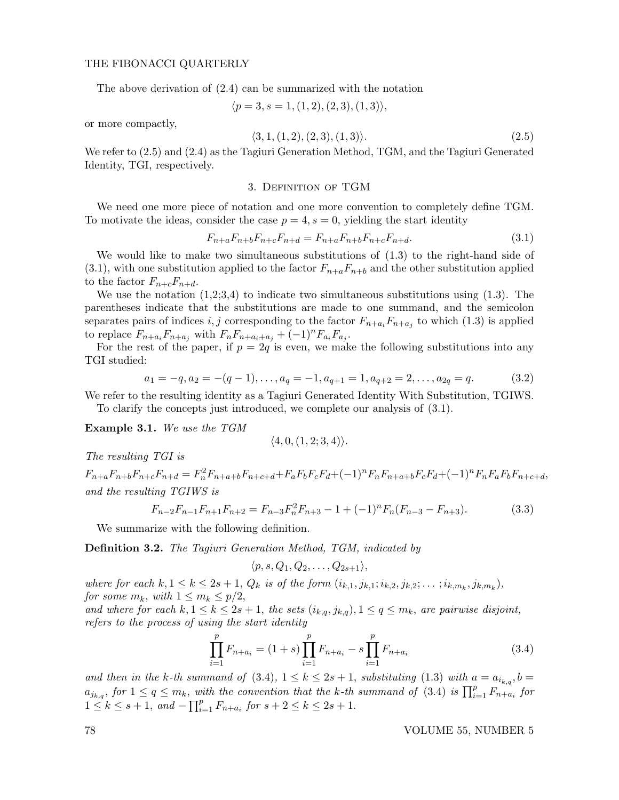The above derivation of (2.4) can be summarized with the notation

$$
\langle p=3, s=1, (1,2), (2,3), (1,3) \rangle,
$$

or more compactly,

$$
\langle 3, 1, (1, 2), (2, 3), (1, 3) \rangle. \tag{2.5}
$$

We refer to (2.5) and (2.4) as the Tagiuri Generation Method, TGM, and the Tagiuri Generated Identity, TGI, respectively.

#### 3. Definition of TGM

We need one more piece of notation and one more convention to completely define TGM. To motivate the ideas, consider the case  $p = 4$ ,  $s = 0$ , yielding the start identity

$$
F_{n+a}F_{n+b}F_{n+c}F_{n+d} = F_{n+a}F_{n+b}F_{n+c}F_{n+d}.
$$
\n(3.1)

We would like to make two simultaneous substitutions of (1.3) to the right-hand side of  $(3.1)$ , with one substitution applied to the factor  $F_{n+a}F_{n+b}$  and the other substitution applied to the factor  $F_{n+c}F_{n+d}$ .

We use the notation  $(1,2;3,4)$  to indicate two simultaneous substitutions using  $(1.3)$ . The parentheses indicate that the substitutions are made to one summand, and the semicolon separates pairs of indices  $i, j$  corresponding to the factor  $F_{n+a_i}F_{n+a_j}$  to which (1.3) is applied to replace  $F_{n+a_i}F_{n+a_j}$  with  $F_nF_{n+a_i+a_j} + (-1)^n F_{a_i}F_{a_j}$ .

For the rest of the paper, if  $p = 2q$  is even, we make the following substitutions into any TGI studied:

$$
a_1 = -q, a_2 = -(q-1), \dots, a_q = -1, a_{q+1} = 1, a_{q+2} = 2, \dots, a_{2q} = q.
$$
 (3.2)

We refer to the resulting identity as a Tagiuri Generated Identity With Substitution, TGIWS. To clarify the concepts just introduced, we complete our analysis of (3.1).

Example 3.1. We use the TGM

$$
\langle 4, 0, (1, 2; 3, 4) \rangle.
$$

The resulting TGI is

 $F_{n+a}F_{n+b}F_{n+c}F_{n+d} = F_n^2F_{n+a+b}F_{n+c+d} + F_aF_bF_cF_d + (-1)^nF_nF_{n+a+b}F_cF_d + (-1)^nF_nF_aF_bF_{n+c+d}$ and the resulting TGIWS is

$$
F_{n-2}F_{n-1}F_{n+1}F_{n+2} = F_{n-3}F_n^2F_{n+3} - 1 + (-1)^n F_n(F_{n-3} - F_{n+3}).
$$
\n(3.3)

We summarize with the following definition.

Definition 3.2. The Tagiuri Generation Method, TGM, indicated by

$$
\langle p, s, Q_1, Q_2, \ldots, Q_{2s+1} \rangle,
$$

where for each  $k, 1 \leq k \leq 2s + 1$ ,  $Q_k$  is of the form  $(i_{k,1}, j_{k,1}; i_{k,2}, j_{k,2}; \ldots; i_{k,m_k}, j_{k,m_k})$ , for some  $m_k$ , with  $1 \leq m_k \leq p/2$ ,

and where for each  $k, 1 \leq k \leq 2s + 1$ , the sets  $(i_{k,q}, j_{k,q})$ ,  $1 \leq q \leq m_k$ , are pairwise disjoint, refers to the process of using the start identity

$$
\prod_{i=1}^{p} F_{n+a_i} = (1+s) \prod_{i=1}^{p} F_{n+a_i} - s \prod_{i=1}^{p} F_{n+a_i}
$$
\n(3.4)

and then in the k-th summand of (3.4),  $1 \leq k \leq 2s + 1$ , substituting (1.3) with  $a = a_{i_{k,q}}, b =$  $a_{j_{k,q}},$  for  $1 \leq q \leq m_k$ , with the convention that the k-th summand of (3.4) is  $\prod_{i=1}^{p} F_{n+a_i}$  for  $1 \leq k \leq s+1$ , and  $-\prod_{i=1}^{p} F_{n+a_i}$  for  $s+2 \leq k \leq 2s+1$ .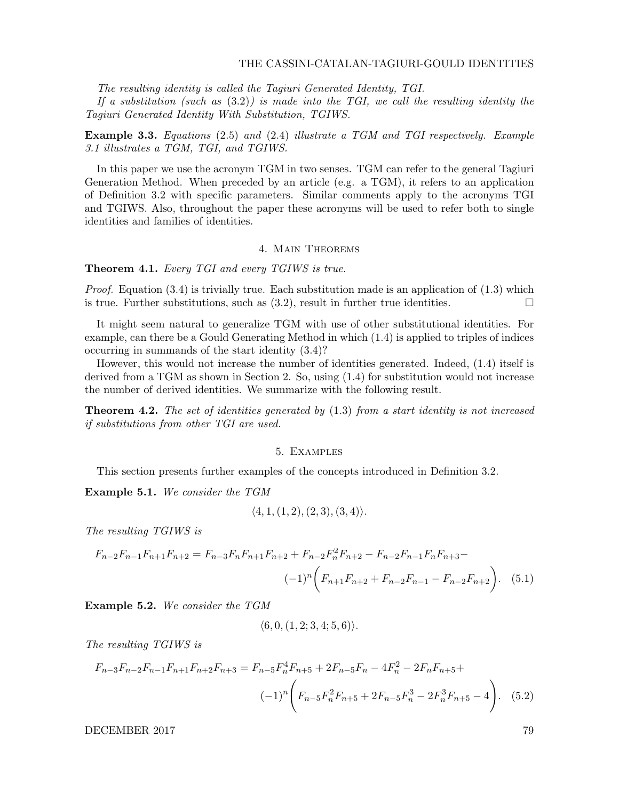#### THE CASSINI-CATALAN-TAGIURI-GOULD IDENTITIES

The resulting identity is called the Tagiuri Generated Identity, TGI.

If a substitution (such as  $(3.2)$ ) is made into the TGI, we call the resulting identity the Tagiuri Generated Identity With Substitution, TGIWS.

Example 3.3. Equations (2.5) and (2.4) illustrate a TGM and TGI respectively. Example 3.1 illustrates a TGM, TGI, and TGIWS.

In this paper we use the acronym TGM in two senses. TGM can refer to the general Tagiuri Generation Method. When preceded by an article (e.g. a TGM), it refers to an application of Definition 3.2 with specific parameters. Similar comments apply to the acronyms TGI and TGIWS. Also, throughout the paper these acronyms will be used to refer both to single identities and families of identities.

## 4. Main Theorems

**Theorem 4.1.** Every TGI and every TGIWS is true.

*Proof.* Equation  $(3.4)$  is trivially true. Each substitution made is an application of  $(1.3)$  which is true. Further substitutions, such as  $(3.2)$ , result in further true identities.

It might seem natural to generalize TGM with use of other substitutional identities. For example, can there be a Gould Generating Method in which (1.4) is applied to triples of indices occurring in summands of the start identity (3.4)?

However, this would not increase the number of identities generated. Indeed, (1.4) itself is derived from a TGM as shown in Section 2. So, using (1.4) for substitution would not increase the number of derived identities. We summarize with the following result.

**Theorem 4.2.** The set of identities generated by  $(1.3)$  from a start identity is not increased if substitutions from other TGI are used.

#### 5. Examples

This section presents further examples of the concepts introduced in Definition 3.2.

Example 5.1. We consider the TGM

$$
\langle 4, 1, (1, 2), (2, 3), (3, 4) \rangle
$$
.

The resulting TGIWS is

$$
F_{n-2}F_{n-1}F_{n+1}F_{n+2} = F_{n-3}F_nF_{n+1}F_{n+2} + F_{n-2}F_n^2F_{n+2} - F_{n-2}F_{n-1}F_nF_{n+3} - (-1)^n \left(F_{n+1}F_{n+2} + F_{n-2}F_{n-1} - F_{n-2}F_{n+2}\right).
$$
 (5.1)

Example 5.2. We consider the TGM

$$
\langle 6, 0, (1, 2; 3, 4; 5, 6) \rangle.
$$

The resulting TGIWS is

$$
F_{n-3}F_{n-2}F_{n-1}F_{n+1}F_{n+2}F_{n+3} = F_{n-5}F_n^4F_{n+5} + 2F_{n-5}F_n - 4F_n^2 - 2F_nF_{n+5} + (-1)^n \left(F_{n-5}F_n^2F_{n+5} + 2F_{n-5}F_n^3 - 2F_n^3F_{n+5} - 4\right).
$$
 (5.2)

DECEMBER 2017 29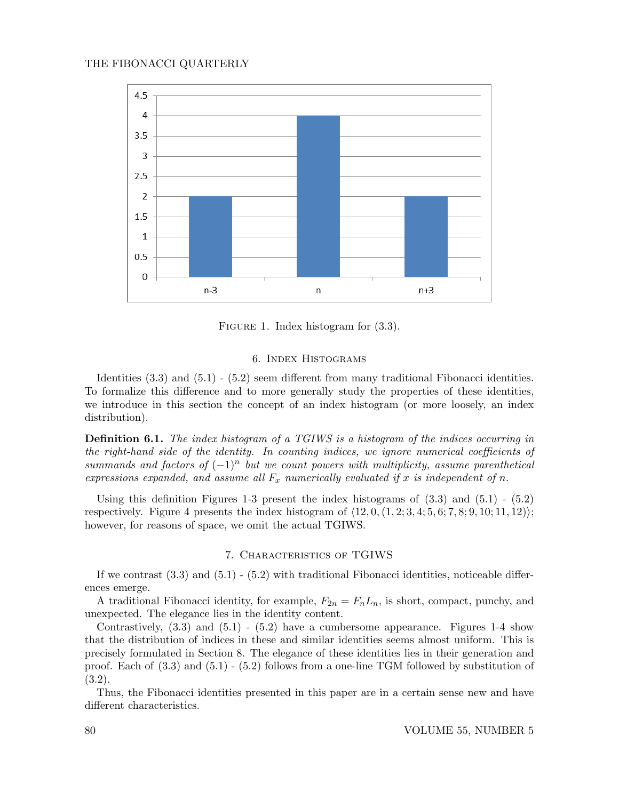

FIGURE 1. Index histogram for  $(3.3)$ .

#### 6. Index Histograms

Identities (3.3) and (5.1) - (5.2) seem different from many traditional Fibonacci identities. To formalize this difference and to more generally study the properties of these identities, we introduce in this section the concept of an index histogram (or more loosely, an index distribution).

**Definition 6.1.** The index histogram of a TGIWS is a histogram of the indices occurring in the right-hand side of the identity. In counting indices, we ignore numerical coefficients of summands and factors of  $(-1)^n$  but we count powers with multiplicity, assume parenthetical expressions expanded, and assume all  $F_x$  numerically evaluated if x is independent of n.

Using this definition Figures 1-3 present the index histograms of  $(3.3)$  and  $(5.1)$  -  $(5.2)$ respectively. Figure 4 presents the index histogram of  $\langle 12, 0, (1, 2; 3, 4; 5, 6; 7, 8; 9, 10; 11, 12) \rangle;$ however, for reasons of space, we omit the actual TGIWS.

## 7. Characteristics of TGIWS

If we contrast  $(3.3)$  and  $(5.1)$  -  $(5.2)$  with traditional Fibonacci identities, noticeable differences emerge.

A traditional Fibonacci identity, for example,  $F_{2n} = F_n L_n$ , is short, compact, punchy, and unexpected. The elegance lies in the identity content.

Contrastively,  $(3.3)$  and  $(5.1)$  -  $(5.2)$  have a cumbersome appearance. Figures 1-4 show that the distribution of indices in these and similar identities seems almost uniform. This is precisely formulated in Section 8. The elegance of these identities lies in their generation and proof. Each of (3.3) and (5.1) - (5.2) follows from a one-line TGM followed by substitution of (3.2).

Thus, the Fibonacci identities presented in this paper are in a certain sense new and have different characteristics.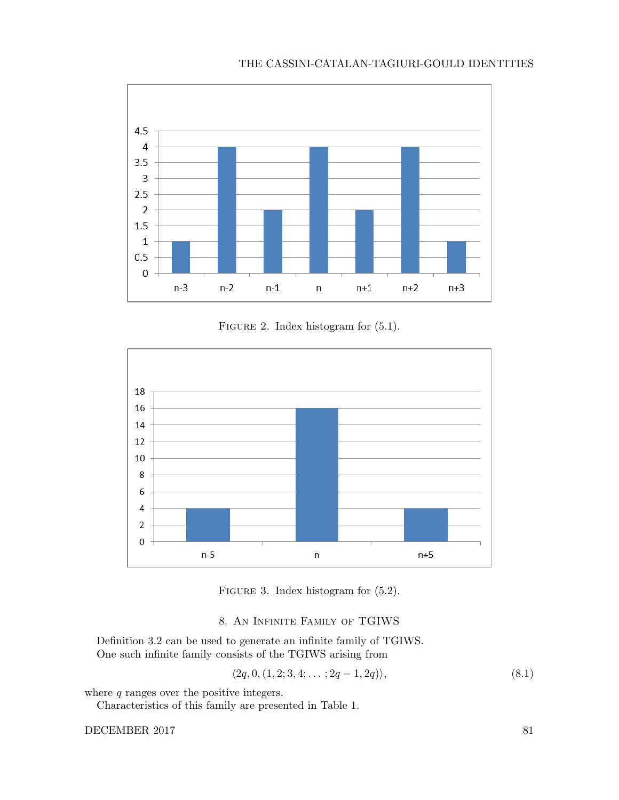# THE CASSINI-CATALAN-TAGIURI-GOULD IDENTITIES



FIGURE 2. Index histogram for  $(5.1)$ .



FIGURE 3. Index histogram for  $(5.2)$ .

## 8. An Infinite Family of TGIWS

Definition 3.2 can be used to generate an infinite family of TGIWS. One such infinite family consists of the TGIWS arising from

$$
\langle 2q, 0, (1,2; 3,4; \dots; 2q-1, 2q) \rangle,
$$
\n(8.1)

where  $q$  ranges over the positive integers.

Characteristics of this family are presented in Table 1.

DECEMBER 2017 81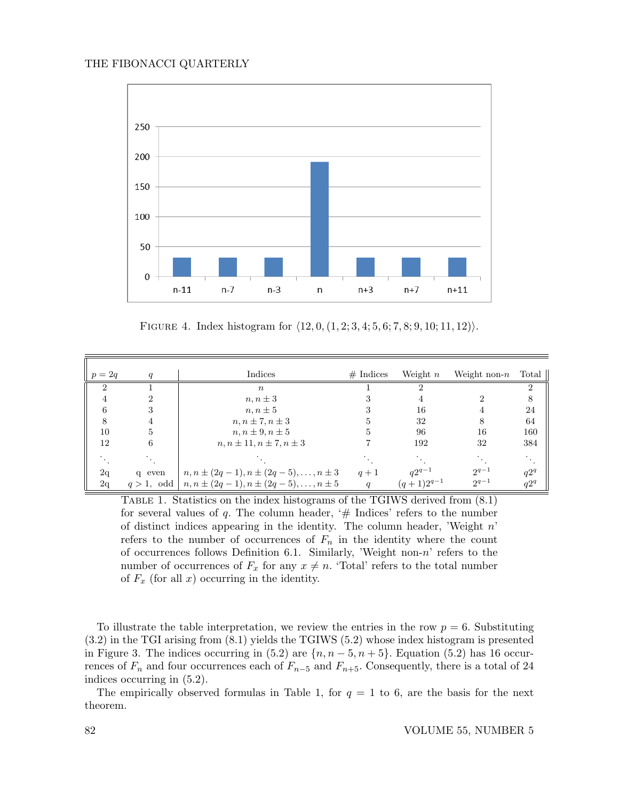

FIGURE 4. Index histogram for  $\langle 12, 0, (1, 2; 3, 4; 5, 6; 7, 8; 9, 10; 11, 12) \rangle$ .

| $p=2q$                      | q           | Indices                                              | $#$ Indices | Weight $n$                   | Weight non- $n$ | Total  |
|-----------------------------|-------------|------------------------------------------------------|-------------|------------------------------|-----------------|--------|
| $\mathcal{D}_{\mathcal{L}}$ |             | $\boldsymbol{n}$                                     |             |                              |                 | 2      |
| 4                           |             | $n, n \pm 3$                                         |             |                              |                 | 8      |
| 6                           | 3           | $n, n \pm 5$                                         |             | 16                           |                 | 24     |
| 8                           | 4           | $n, n \pm 7, n \pm 3$                                |             | 32                           | 8               | 64     |
| 10                          | 5           | $n, n \pm 9, n \pm 5$                                |             | 96                           | 16              | 160    |
| 12                          | 6           | $n, n \pm 11, n \pm 7, n \pm 3$                      |             | 192                          | 32              | 384    |
|                             |             |                                                      |             |                              |                 |        |
| 2q                          | q even      | $n, n \pm (2q - 1), n \pm (2q - 5), \ldots, n \pm 3$ | $q+1$       | $q2^{q-1}$<br>$(q+1)2^{q-1}$ | $2^{q-1}$       | $q2^q$ |
| 2q                          | $q>1$ , odd | $n, n \pm (2q - 1), n \pm (2q - 5), \ldots, n \pm 5$ | q           |                              | $2^{q-1}$       | $q2^q$ |

Table 1. Statistics on the index histograms of the TGIWS derived from (8.1) for several values of q. The column header,  $#$  Indices' refers to the number of distinct indices appearing in the identity. The column header, 'Weight  $n$ ' refers to the number of occurrences of  $F_n$  in the identity where the count of occurrences follows Definition 6.1. Similarly, 'Weight non-n' refers to the number of occurrences of  $F_x$  for any  $x \neq n$ . 'Total' refers to the total number of  $F_x$  (for all x) occurring in the identity.

To illustrate the table interpretation, we review the entries in the row  $p = 6$ . Substituting (3.2) in the TGI arising from (8.1) yields the TGIWS (5.2) whose index histogram is presented in Figure 3. The indices occurring in (5.2) are  $\{n, n-5, n+5\}$ . Equation (5.2) has 16 occurrences of  $F_n$  and four occurrences each of  $F_{n-5}$  and  $F_{n+5}$ . Consequently, there is a total of 24 indices occurring in (5.2).

The empirically observed formulas in Table 1, for  $q = 1$  to 6, are the basis for the next theorem.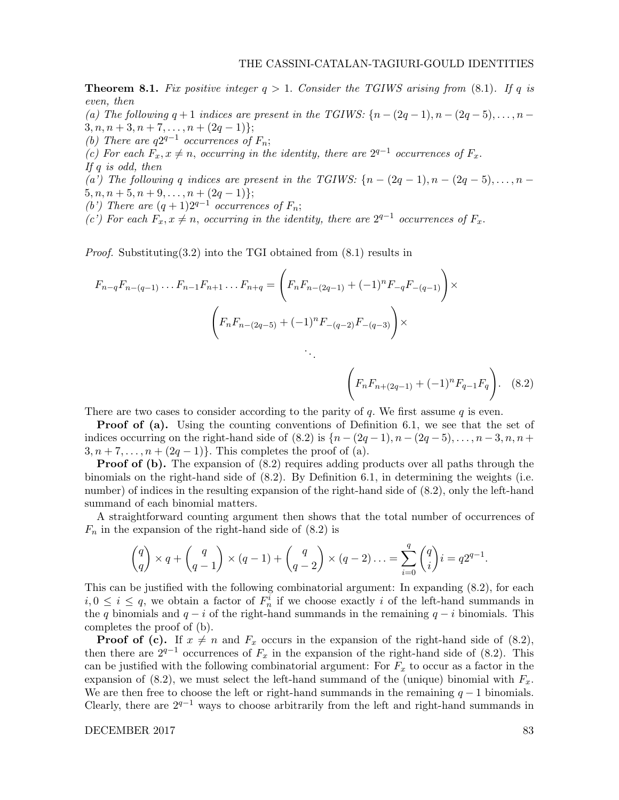$F_nF_{n+(2q-1)} + (-1)^nF_{q-1}F_q$ 

**Theorem 8.1.** Fix positive integer  $q > 1$ . Consider the TGIWS arising from (8.1). If q is even, then (a) The following  $q + 1$  indices are present in the TGIWS:  $\{n - (2q - 1), n - (2q - 5), \ldots, n - 1\}$  $3, n, n+3, n+7, \ldots, n+(2q-1)$ ;

- (b) There are  $q2^{q-1}$  occurrences of  $F_n$ ;
- (c) For each  $F_x, x \neq n$ , occurring in the identity, there are  $2^{q-1}$  occurrences of  $F_x$ .
- If  $q$  is odd, then

(a') The following q indices are present in the TGIWS:  $\{n-(2q-1), n-(2q-5), \ldots, n-1\}$  $5, n, n+5, n+9, \ldots, n+(2q-1)$ ;

(b') There are  $(q + 1)2^{q-1}$  occurrences of  $F_n$ ;

(c') For each  $F_x, x \neq n$ , occurring in the identity, there are  $2^{q-1}$  occurrences of  $F_x$ .

*Proof.* Substituting  $(3.2)$  into the TGI obtained from  $(8.1)$  results in

$$
F_{n-q}F_{n-(q-1)}\dots F_{n-1}F_{n+1}\dots F_{n+q} = \left(F_nF_{n-(2q-1)} + (-1)^nF_{-q}F_{-(q-1)}\right) \times
$$
  

$$
\left(F_nF_{n-(2q-5)} + (-1)^nF_{-(q-2)}F_{-(q-3)}\right) \times
$$

There are two cases to consider according to the parity of q. We first assume  $q$  is even.

**Proof of (a).** Using the counting conventions of Definition 6.1, we see that the set of indices occurring on the right-hand side of (8.2) is  $\{n-(2q-1), n-(2q-5), \ldots, n-3, n, n+\}$  $3, n+7, \ldots, n+(2q-1)$ . This completes the proof of (a).

**Proof of (b).** The expansion of  $(8.2)$  requires adding products over all paths through the binomials on the right-hand side of (8.2). By Definition 6.1, in determining the weights (i.e. number) of indices in the resulting expansion of the right-hand side of (8.2), only the left-hand summand of each binomial matters.

A straightforward counting argument then shows that the total number of occurrences of  $F_n$  in the expansion of the right-hand side of  $(8.2)$  is

$$
\binom{q}{q} \times q + \binom{q}{q-1} \times (q-1) + \binom{q}{q-2} \times (q-2) \dots = \sum_{i=0}^q \binom{q}{i} i = q2^{q-1}.
$$

This can be justified with the following combinatorial argument: In expanding (8.2), for each  $i, 0 \leq i \leq q$ , we obtain a factor of  $F_n^i$  if we choose exactly i of the left-hand summands in the q binomials and  $q - i$  of the right-hand summands in the remaining  $q - i$  binomials. This completes the proof of (b).

**Proof of (c).** If  $x \neq n$  and  $F_x$  occurs in the expansion of the right-hand side of (8.2), then there are  $2^{q-1}$  occurrences of  $F_x$  in the expansion of the right-hand side of (8.2). This can be justified with the following combinatorial argument: For  $F_x$  to occur as a factor in the expansion of (8.2), we must select the left-hand summand of the (unique) binomial with  $F_x$ . We are then free to choose the left or right-hand summands in the remaining  $q-1$  binomials. Clearly, there are  $2^{q-1}$  ways to choose arbitrarily from the left and right-hand summands in

DECEMBER 2017 83

. (8.2)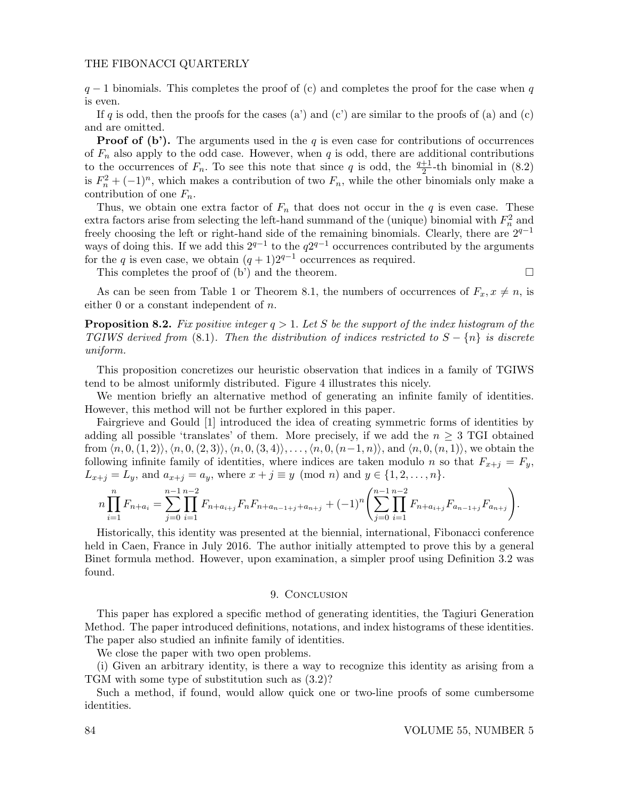$q-1$  binomials. This completes the proof of (c) and completes the proof for the case when q is even.

If q is odd, then the proofs for the cases (a') and (c') are similar to the proofs of (a) and (c) and are omitted.

**Proof of (b').** The arguments used in the q is even case for contributions of occurrences of  $F_n$  also apply to the odd case. However, when q is odd, there are additional contributions to the occurrences of  $F_n$ . To see this note that since q is odd, the  $\frac{q+1}{2}$ -th binomial in (8.2) is  $F_n^2 + (-1)^n$ , which makes a contribution of two  $F_n$ , while the other binomials only make a contribution of one  $F_n$ .

Thus, we obtain one extra factor of  $F_n$  that does not occur in the q is even case. These extra factors arise from selecting the left-hand summand of the (unique) binomial with  $F_n^2$  and freely choosing the left or right-hand side of the remaining binomials. Clearly, there are  $2^{q-1}$ ways of doing this. If we add this  $2^{q-1}$  to the  $q2^{q-1}$  occurrences contributed by the arguments for the q is even case, we obtain  $(q + 1)2^{q-1}$  occurrences as required.

This completes the proof of  $(b')$  and the theorem.

As can be seen from Table 1 or Theorem 8.1, the numbers of occurrences of  $F_x, x \neq n$ , is either 0 or a constant independent of n.

**Proposition 8.2.** Fix positive integer  $q > 1$ . Let S be the support of the index histogram of the TGIWS derived from (8.1). Then the distribution of indices restricted to  $S - \{n\}$  is discrete uniform.

This proposition concretizes our heuristic observation that indices in a family of TGIWS tend to be almost uniformly distributed. Figure 4 illustrates this nicely.

We mention briefly an alternative method of generating an infinite family of identities. However, this method will not be further explored in this paper.

Fairgrieve and Gould [1] introduced the idea of creating symmetric forms of identities by adding all possible 'translates' of them. More precisely, if we add the  $n \geq 3$  TGI obtained from  $\langle n, 0, (1, 2)\rangle$ ,  $\langle n, 0, (2, 3)\rangle$ ,  $\langle n, 0, (3, 4)\rangle$ , ...,  $\langle n, 0, (n-1, n)\rangle$ , and  $\langle n, 0, (n, 1)\rangle$ , we obtain the following infinite family of identities, where indices are taken modulo n so that  $F_{x+j} = F_y$ ,  $L_{x+j} = L_y$ , and  $a_{x+j} = a_y$ , where  $x + j \equiv y \pmod{n}$  and  $y \in \{1, 2, ..., n\}$ .

$$
n\prod_{i=1}^{n}F_{n+a_i} = \sum_{j=0}^{n-1}\prod_{i=1}^{n-2}F_{n+a_{i+j}}F_nF_{n+a_{n-1+j}+a_{n+j}} + (-1)^n\left(\sum_{j=0}^{n-1}\prod_{i=1}^{n-2}F_{n+a_{i+j}}F_{a_{n-1+j}}F_{a_{n+j}}\right).
$$

Historically, this identity was presented at the biennial, international, Fibonacci conference held in Caen, France in July 2016. The author initially attempted to prove this by a general Binet formula method. However, upon examination, a simpler proof using Definition 3.2 was found.

#### 9. CONCLUSION

This paper has explored a specific method of generating identities, the Tagiuri Generation Method. The paper introduced definitions, notations, and index histograms of these identities. The paper also studied an infinite family of identities.

We close the paper with two open problems.

(i) Given an arbitrary identity, is there a way to recognize this identity as arising from a TGM with some type of substitution such as (3.2)?

Such a method, if found, would allow quick one or two-line proofs of some cumbersome identities.